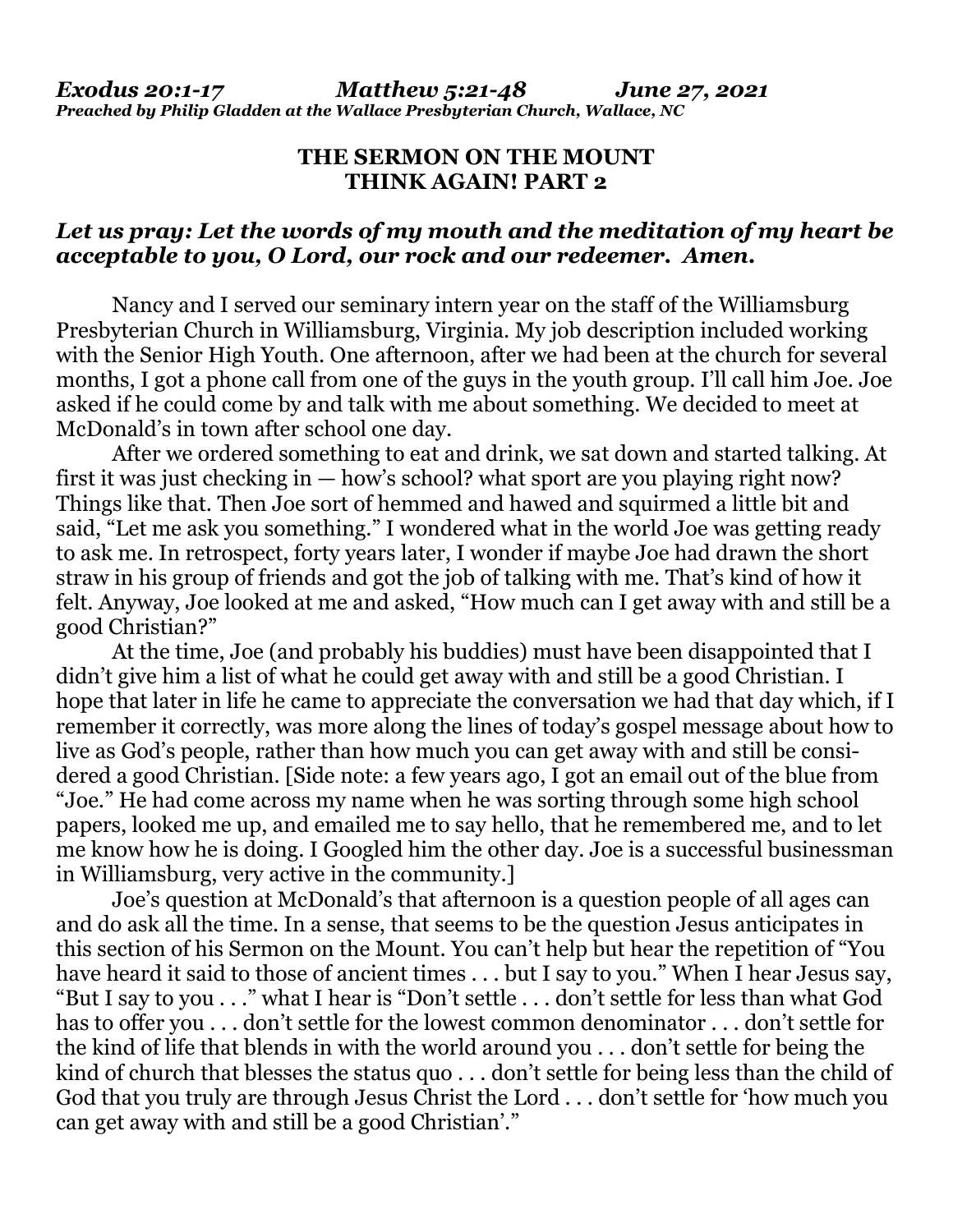## **THE SERMON ON THE MOUNT THINK AGAIN! PART 2**

## *Let us pray: Let the words of my mouth and the meditation of my heart be acceptable to you, O Lord, our rock and our redeemer. Amen.*

Nancy and I served our seminary intern year on the staff of the Williamsburg Presbyterian Church in Williamsburg, Virginia. My job description included working with the Senior High Youth. One afternoon, after we had been at the church for several months, I got a phone call from one of the guys in the youth group. I'll call him Joe. Joe asked if he could come by and talk with me about something. We decided to meet at McDonald's in town after school one day.

 After we ordered something to eat and drink, we sat down and started talking. At first it was just checking in — how's school? what sport are you playing right now? Things like that. Then Joe sort of hemmed and hawed and squirmed a little bit and said, "Let me ask you something." I wondered what in the world Joe was getting ready to ask me. In retrospect, forty years later, I wonder if maybe Joe had drawn the short straw in his group of friends and got the job of talking with me. That's kind of how it felt. Anyway, Joe looked at me and asked, "How much can I get away with and still be a good Christian?"

 At the time, Joe (and probably his buddies) must have been disappointed that I didn't give him a list of what he could get away with and still be a good Christian. I hope that later in life he came to appreciate the conversation we had that day which, if I remember it correctly, was more along the lines of today's gospel message about how to live as God's people, rather than how much you can get away with and still be considered a good Christian. [Side note: a few years ago, I got an email out of the blue from "Joe." He had come across my name when he was sorting through some high school papers, looked me up, and emailed me to say hello, that he remembered me, and to let me know how he is doing. I Googled him the other day. Joe is a successful businessman in Williamsburg, very active in the community.]

 Joe's question at McDonald's that afternoon is a question people of all ages can and do ask all the time. In a sense, that seems to be the question Jesus anticipates in this section of his Sermon on the Mount. You can't help but hear the repetition of "You have heard it said to those of ancient times . . . but I say to you." When I hear Jesus say, "But I say to you . . ." what I hear is "Don't settle . . . don't settle for less than what God has to offer you . . . don't settle for the lowest common denominator . . . don't settle for the kind of life that blends in with the world around you . . . don't settle for being the kind of church that blesses the status quo . . . don't settle for being less than the child of God that you truly are through Jesus Christ the Lord . . . don't settle for 'how much you can get away with and still be a good Christian'."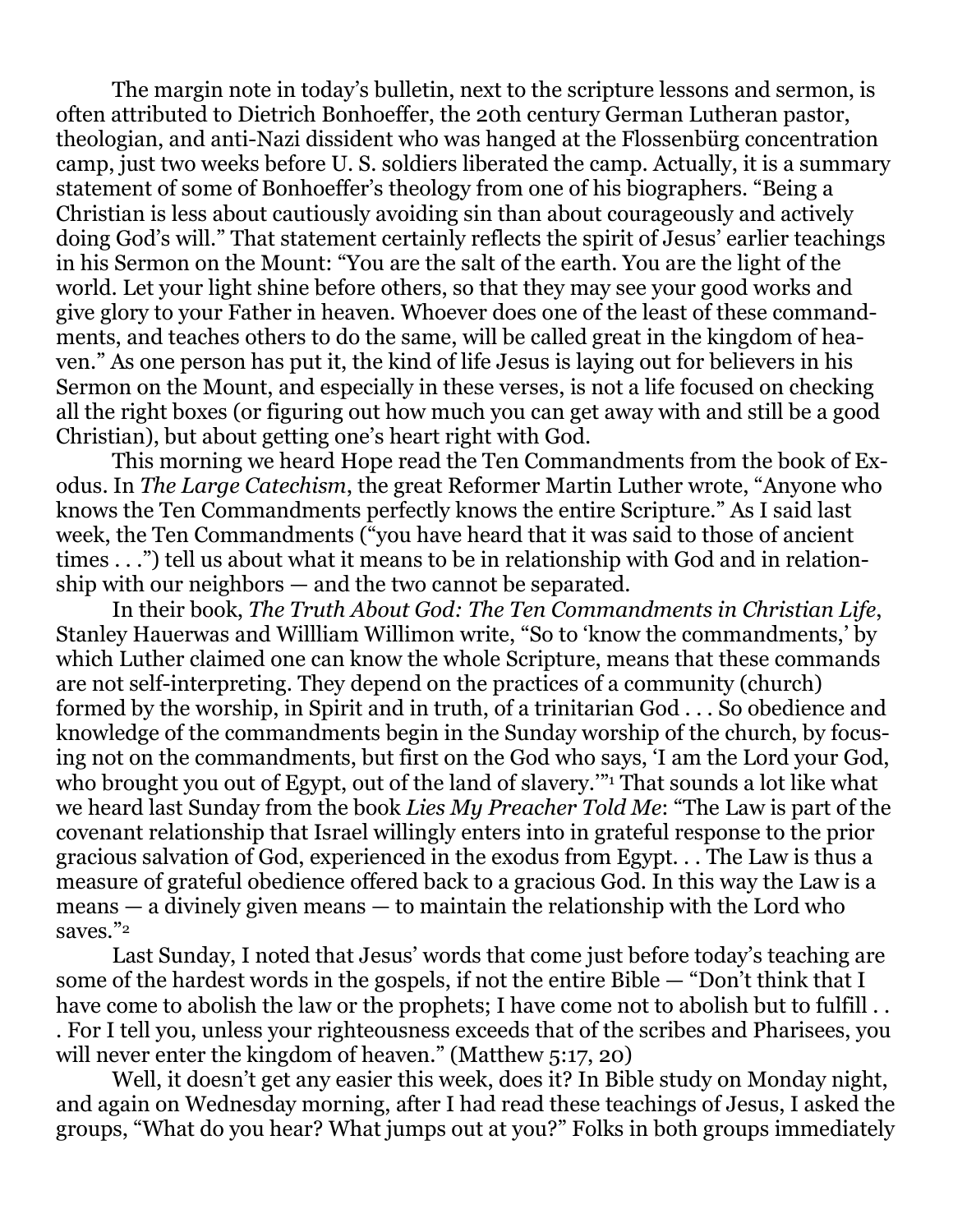The margin note in today's bulletin, next to the scripture lessons and sermon, is often attributed to Dietrich Bonhoeffer, the 20th century German Lutheran pastor, theologian, and anti-Nazi dissident who was hanged at the Flossenbürg concentration camp, just two weeks before U. S. soldiers liberated the camp. Actually, it is a summary statement of some of Bonhoeffer's theology from one of his biographers. "Being a Christian is less about cautiously avoiding sin than about courageously and actively doing God's will." That statement certainly reflects the spirit of Jesus' earlier teachings in his Sermon on the Mount: "You are the salt of the earth. You are the light of the world. Let your light shine before others, so that they may see your good works and give glory to your Father in heaven. Whoever does one of the least of these commandments, and teaches others to do the same, will be called great in the kingdom of heaven." As one person has put it, the kind of life Jesus is laying out for believers in his Sermon on the Mount, and especially in these verses, is not a life focused on checking all the right boxes (or figuring out how much you can get away with and still be a good Christian), but about getting one's heart right with God.

 This morning we heard Hope read the Ten Commandments from the book of Exodus. In *The Large Catechism*, the great Reformer Martin Luther wrote, "Anyone who knows the Ten Commandments perfectly knows the entire Scripture." As I said last week, the Ten Commandments ("you have heard that it was said to those of ancient times . . .") tell us about what it means to be in relationship with God and in relationship with our neighbors — and the two cannot be separated.

 In their book, *The Truth About God: The Ten Commandments in Christian Life*, Stanley Hauerwas and Willliam Willimon write, "So to 'know the commandments,' by which Luther claimed one can know the whole Scripture, means that these commands are not self-interpreting. They depend on the practices of a community (church) formed by the worship, in Spirit and in truth, of a trinitarian God . . . So obedience and knowledge of the commandments begin in the Sunday worship of the church, by focusing not on the commandments, but first on the God who says, 'I am the Lord your God, who brought you out of Egypt, out of the land of slavery.'"<sup>1</sup> That sounds a lot like what we heard last Sunday from the book *Lies My Preacher Told Me*: "The Law is part of the covenant relationship that Israel willingly enters into in grateful response to the prior gracious salvation of God, experienced in the exodus from Egypt. . . The Law is thus a measure of grateful obedience offered back to a gracious God. In this way the Law is a means — a divinely given means — to maintain the relationship with the Lord who saves."<sup>2</sup>

 Last Sunday, I noted that Jesus' words that come just before today's teaching are some of the hardest words in the gospels, if not the entire Bible — "Don't think that I have come to abolish the law or the prophets; I have come not to abolish but to fulfill . . . For I tell you, unless your righteousness exceeds that of the scribes and Pharisees, you will never enter the kingdom of heaven." (Matthew 5:17, 20)

 Well, it doesn't get any easier this week, does it? In Bible study on Monday night, and again on Wednesday morning, after I had read these teachings of Jesus, I asked the groups, "What do you hear? What jumps out at you?" Folks in both groups immediately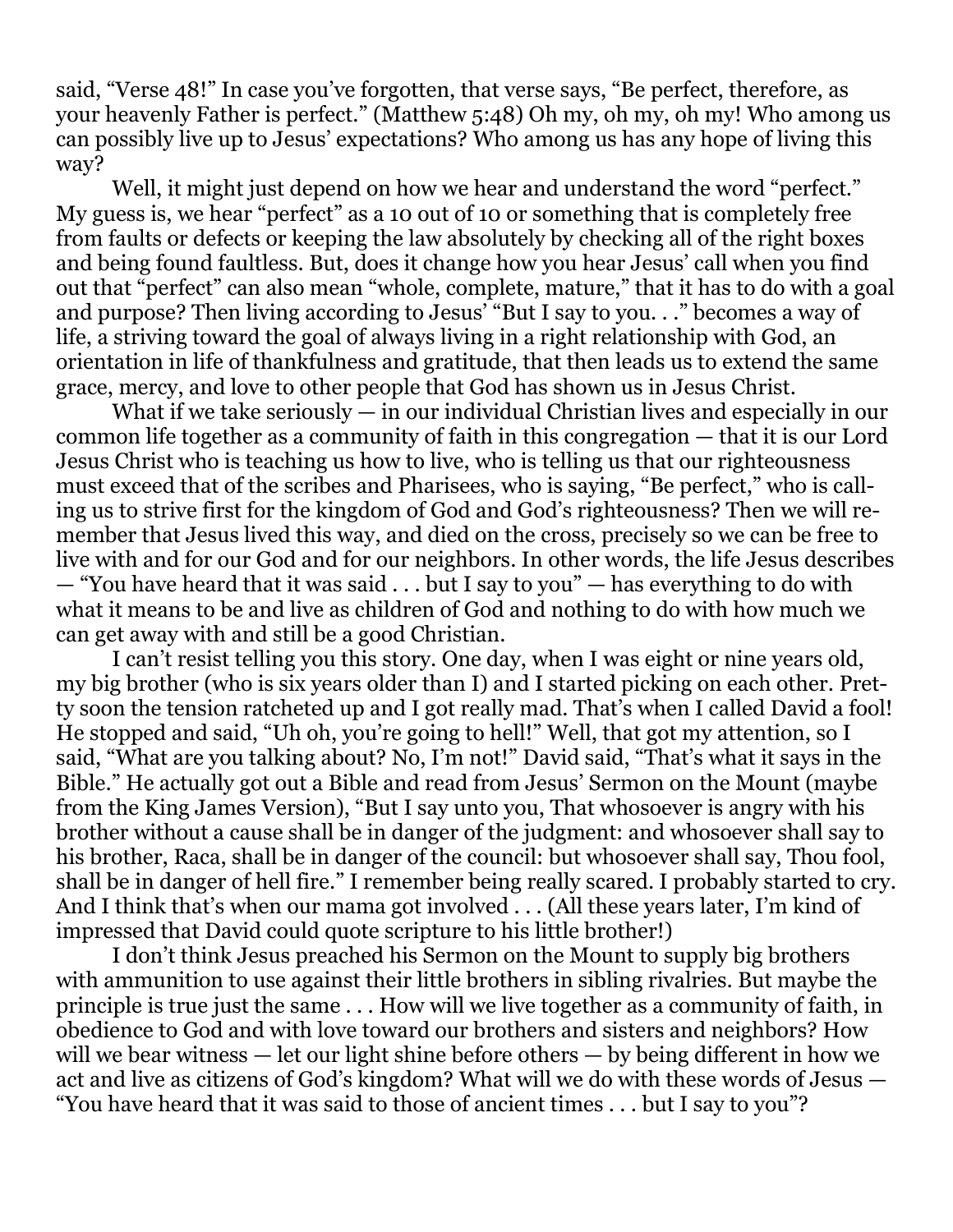said, "Verse 48!" In case you've forgotten, that verse says, "Be perfect, therefore, as your heavenly Father is perfect." (Matthew 5:48) Oh my, oh my, oh my! Who among us can possibly live up to Jesus' expectations? Who among us has any hope of living this way?

Well, it might just depend on how we hear and understand the word "perfect." My guess is, we hear "perfect" as a 10 out of 10 or something that is completely free from faults or defects or keeping the law absolutely by checking all of the right boxes and being found faultless. But, does it change how you hear Jesus' call when you find out that "perfect" can also mean "whole, complete, mature," that it has to do with a goal and purpose? Then living according to Jesus' "But I say to you. . ." becomes a way of life, a striving toward the goal of always living in a right relationship with God, an orientation in life of thankfulness and gratitude, that then leads us to extend the same grace, mercy, and love to other people that God has shown us in Jesus Christ.

What if we take seriously  $-$  in our individual Christian lives and especially in our common life together as a community of faith in this congregation — that it is our Lord Jesus Christ who is teaching us how to live, who is telling us that our righteousness must exceed that of the scribes and Pharisees, who is saying, "Be perfect," who is calling us to strive first for the kingdom of God and God's righteousness? Then we will remember that Jesus lived this way, and died on the cross, precisely so we can be free to live with and for our God and for our neighbors. In other words, the life Jesus describes — "You have heard that it was said . . . but I say to you" — has everything to do with what it means to be and live as children of God and nothing to do with how much we can get away with and still be a good Christian.

 I can't resist telling you this story. One day, when I was eight or nine years old, my big brother (who is six years older than I) and I started picking on each other. Pretty soon the tension ratcheted up and I got really mad. That's when I called David a fool! He stopped and said, "Uh oh, you're going to hell!" Well, that got my attention, so I said, "What are you talking about? No, I'm not!" David said, "That's what it says in the Bible." He actually got out a Bible and read from Jesus' Sermon on the Mount (maybe from the King James Version), "But I say unto you, That whosoever is angry with his brother without a cause shall be in danger of the judgment: and whosoever shall say to his brother, Raca, shall be in danger of the council: but whosoever shall say, Thou fool, shall be in danger of hell fire." I remember being really scared. I probably started to cry. And I think that's when our mama got involved . . . (All these years later, I'm kind of impressed that David could quote scripture to his little brother!)

 I don't think Jesus preached his Sermon on the Mount to supply big brothers with ammunition to use against their little brothers in sibling rivalries. But maybe the principle is true just the same . . . How will we live together as a community of faith, in obedience to God and with love toward our brothers and sisters and neighbors? How will we bear witness — let our light shine before others — by being different in how we act and live as citizens of God's kingdom? What will we do with these words of Jesus — "You have heard that it was said to those of ancient times . . . but I say to you"?